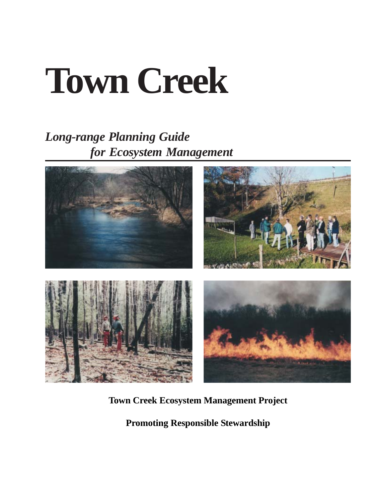# **Town Creek**

# *Long-range Planning Guide for Ecosystem Management*



**Town Creek Ecosystem Management Project**

**Promoting Responsible Stewardship**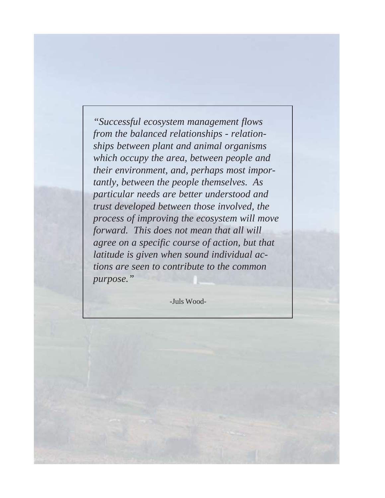*"Successful ecosystem management flows from the balanced relationships - relationships between plant and animal organisms which occupy the area, between people and their environment, and, perhaps most importantly, between the people themselves. As particular needs are better understood and trust developed between those involved, the process of improving the ecosystem will move forward. This does not mean that all will agree on a specific course of action, but that latitude is given when sound individual actions are seen to contribute to the common purpose."*

-Juls Wood-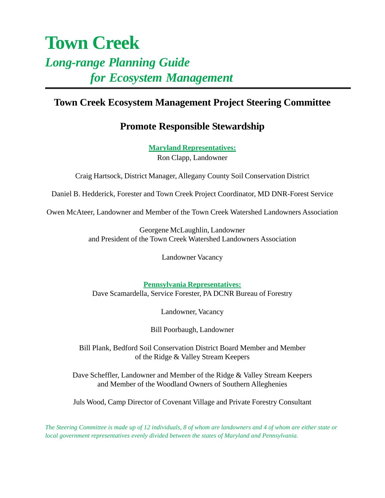# **Town Creek** *Long-range Planning Guide for Ecosystem Management*

# **Town Creek Ecosystem Management Project Steering Committee**

# **Promote Responsible Stewardship**

**Maryland Representatives:** Ron Clapp, Landowner

Craig Hartsock, District Manager, Allegany County Soil Conservation District

Daniel B. Hedderick, Forester and Town Creek Project Coordinator, MD DNR-Forest Service

Owen McAteer, Landowner and Member of the Town Creek Watershed Landowners Association

Georgene McLaughlin, Landowner and President of the Town Creek Watershed Landowners Association

Landowner Vacancy

**Pennsylvania Representatives:** Dave Scamardella, Service Forester, PA DCNR Bureau of Forestry

Landowner, Vacancy

Bill Poorbaugh, Landowner

Bill Plank, Bedford Soil Conservation District Board Member and Member of the Ridge & Valley Stream Keepers

Dave Scheffler, Landowner and Member of the Ridge & Valley Stream Keepers and Member of the Woodland Owners of Southern Alleghenies

Juls Wood, Camp Director of Covenant Village and Private Forestry Consultant

*The Steering Committee is made up of 12 individuals, 8 of whom are landowners and 4 of whom are either state or local government representatives evenly divided between the states of Maryland and Pennsylvania.*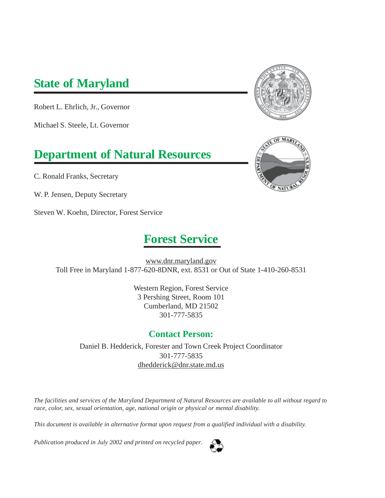**State of Maryland**

Robert L. Ehrlich, Jr., Governor

Michael S. Steele, Lt. Governor

# **Department of Natural Resources**

C. Ronald Franks, Secretary

W. P. Jensen, Deputy Secretary

Steven W. Koehn, Director, Forest Service

# **Forest Service**

www.dnr.maryland.gov Toll Free in Maryland 1-877-620-8DNR, ext. 8531 or Out of State 1-410-260-8531

> Western Region, Forest Service 3 Pershing Street, Room 101 Cumberland, MD 21502 301-777-5835

#### **Contact Person:**

Daniel B. Hedderick, Forester and Town Creek Project Coordinator 301-777-5835 dhedderick@dnr.state.md.us

*The facilities and services of the Maryland Department of Natural Resources are available to all without regard to race, color, sex, sexual orientation, age, national origin or physical or mental disability.*

*This document is available in alternative format upon request from a qualified individual with a disability.*

*Publication produced in July 2002 and printed on recycled paper*.





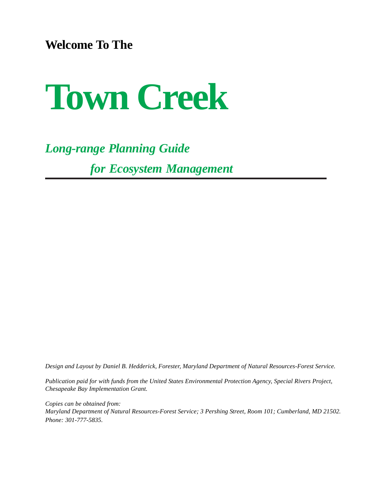**Welcome To The**

# **Town Creek**

*Long-range Planning Guide for Ecosystem Management*

*Design and Layout by Daniel B. Hedderick, Forester, Maryland Department of Natural Resources-Forest Service.*

*Publication paid for with funds from the United States Environmental Protection Agency, Special Rivers Project, Chesapeake Bay Implementation Grant.*

*Copies can be obtained from: Maryland Department of Natural Resources-Forest Service; 3 Pershing Street, Room 101; Cumberland, MD 21502. Phone: 301-777-5835.*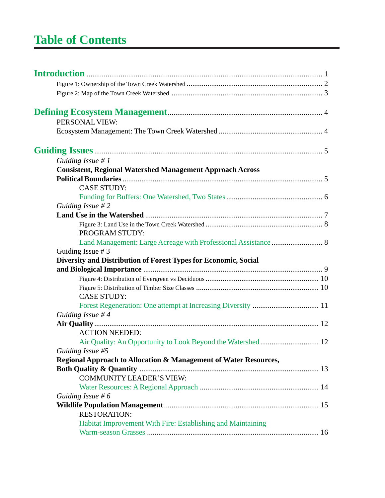# **Table of Contents**

| PERSONAL VIEW:                                                   |  |
|------------------------------------------------------------------|--|
|                                                                  |  |
|                                                                  |  |
| Guiding Issue # $1$                                              |  |
| <b>Consistent, Regional Watershed Management Approach Across</b> |  |
|                                                                  |  |
| <b>CASE STUDY:</b>                                               |  |
|                                                                  |  |
| Guiding Issue # 2                                                |  |
|                                                                  |  |
|                                                                  |  |
| PROGRAM STUDY:                                                   |  |
| Land Management: Large Acreage with Professional Assistance  8   |  |
| Guiding Issue #3                                                 |  |
| Diversity and Distribution of Forest Types for Economic, Social  |  |
|                                                                  |  |
|                                                                  |  |
|                                                                  |  |
| <b>CASE STUDY:</b>                                               |  |
|                                                                  |  |
| Guiding Issue #4                                                 |  |
| <b>ACTION NEEDED:</b>                                            |  |
|                                                                  |  |
| Guiding Issue #5                                                 |  |
| Regional Approach to Allocation & Management of Water Resources, |  |
|                                                                  |  |
| <b>COMMUNITY LEADER'S VIEW:</b>                                  |  |
|                                                                  |  |
| Guiding Issue #6                                                 |  |
|                                                                  |  |
| <b>RESTORATION:</b>                                              |  |
| Habitat Improvement With Fire: Establishing and Maintaining      |  |
|                                                                  |  |
|                                                                  |  |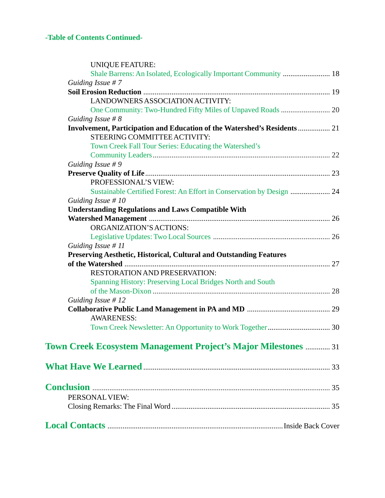| <b>UNIQUE FEATURE:</b>                                                    |  |
|---------------------------------------------------------------------------|--|
|                                                                           |  |
| Guiding Issue # $7$                                                       |  |
|                                                                           |  |
| LANDOWNERS ASSOCIATION ACTIVITY:                                          |  |
|                                                                           |  |
| Guiding Issue # $8$                                                       |  |
| Involvement, Participation and Education of the Watershed's Residents  21 |  |
| STEERING COMMITTEE ACTIVITY:                                              |  |
| Town Creek Fall Tour Series: Educating the Watershed's                    |  |
|                                                                           |  |
| Guiding Issue #9                                                          |  |
|                                                                           |  |
| PROFESSIONAL'S VIEW:                                                      |  |
| Sustainable Certified Forest: An Effort in Conservation by Design  24     |  |
| Guiding Issue # $10$                                                      |  |
| <b>Understanding Regulations and Laws Compatible With</b>                 |  |
|                                                                           |  |
| ORGANIZATION'S ACTIONS:                                                   |  |
|                                                                           |  |
| Guiding Issue # 11                                                        |  |
| Preserving Aesthetic, Historical, Cultural and Outstanding Features       |  |
|                                                                           |  |
| RESTORATION AND PRESERVATION:                                             |  |
| Spanning History: Preserving Local Bridges North and South                |  |
|                                                                           |  |
| Guiding Issue # 12                                                        |  |
|                                                                           |  |
| <b>AWARENESS:</b>                                                         |  |
|                                                                           |  |
| <b>Town Creek Ecosystem Management Project's Major Milestones  31</b>     |  |
|                                                                           |  |
|                                                                           |  |
| PERSONAL VIEW:                                                            |  |
|                                                                           |  |
|                                                                           |  |
|                                                                           |  |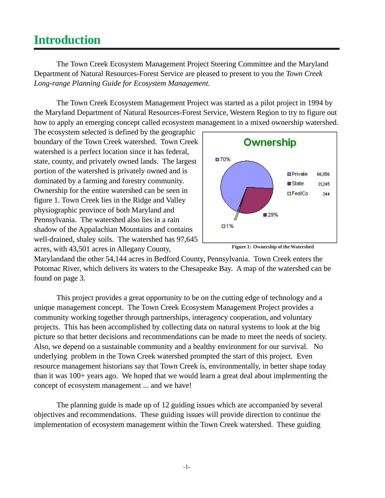# **Introduction**

The Town Creek Ecosystem Management Project Steering Committee and the Maryland Department of Natural Resources-Forest Service are pleased to present to you the *Town Creek Long-range Planning Guide for Ecosystem Management.*

The Town Creek Ecosystem Management Project was started as a pilot project in 1994 by the Maryland Department of Natural Resources-Forest Service, Western Region to try to figure out how to apply an emerging concept called ecosystem management in a mixed ownership watershed.

The ecosystem selected is defined by the geographic boundary of the Town Creek watershed. Town Creek watershed is a perfect location since it has federal, state, county, and privately owned lands. The largest portion of the watershed is privately owned and is dominated by a farming and forestry community. Ownership for the entire watershed can be seen in figure 1. Town Creek lies in the Ridge and Valley physiographic province of both Maryland and Pennsylvania. The watershed also lies in a rain shadow of the Appalachian Mountains and contains well-drained, shaley soils. The watershed has 97,645 acres, with 43,501 acres in Allegany County,





Marylandand the other 54,144 acres in Bedford County, Pennsylvania. Town Creek enters the Potomac River, which delivers its waters to the Chesapeake Bay. A map of the watershed can be found on page 3.

This project provides a great opportunity to be on the cutting edge of technology and a unique management concept. The Town Creek Ecosystem Management Project provides a community working together through partnerships, interagency cooperation, and voluntary projects. This has been accomplished by collecting data on natural systems to look at the big picture so that better decisions and recommendations can be made to meet the needs of society. Also, we depend on a sustainable community and a healthy environment for our survival. No underlying problem in the Town Creek watershed prompted the start of this project. Even resource management historians say that Town Creek is, environmentally, in better shape today than it was 100+ years ago. We hoped that we would learn a great deal about implementing the concept of ecosystem management ... and we have!

The planning guide is made up of 12 guiding issues which are accompanied by several objectives and recommendations. These guiding issues will provide direction to continue the implementation of ecosystem management within the Town Creek watershed. These guiding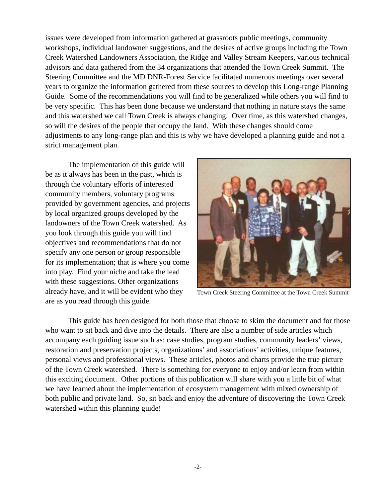issues were developed from information gathered at grassroots public meetings, community workshops, individual landowner suggestions, and the desires of active groups including the Town Creek Watershed Landowners Association, the Ridge and Valley Stream Keepers, various technical advisors and data gathered from the 34 organizations that attended the Town Creek Summit. The Steering Committee and the MD DNR-Forest Service facilitated numerous meetings over several years to organize the information gathered from these sources to develop this Long-range Planning Guide. Some of the recommendations you will find to be generalized while others you will find to be very specific. This has been done because we understand that nothing in nature stays the same and this watershed we call Town Creek is always changing. Over time, as this watershed changes, so will the desires of the people that occupy the land. With these changes should come adjustments to any long-range plan and this is why we have developed a planning guide and not a strict management plan.

The implementation of this guide will be as it always has been in the past, which is through the voluntary efforts of interested community members, voluntary programs provided by government agencies, and projects by local organized groups developed by the landowners of the Town Creek watershed. As you look through this guide you will find objectives and recommendations that do not specify any one person or group responsible for its implementation; that is where you come into play. Find your niche and take the lead with these suggestions. Other organizations already have, and it will be evident who they are as you read through this guide.



Town Creek Steering Committee at the Town Creek Summit

This guide has been designed for both those that choose to skim the document and for those who want to sit back and dive into the details. There are also a number of side articles which accompany each guiding issue such as: case studies, program studies, community leaders' views, restoration and preservation projects, organizations' and associations' activities, unique features, personal views and professional views. These articles, photos and charts provide the true picture of the Town Creek watershed. There is something for everyone to enjoy and/or learn from within this exciting document. Other portions of this publication will share with you a little bit of what we have learned about the implementation of ecosystem management with mixed ownership of both public and private land. So, sit back and enjoy the adventure of discovering the Town Creek watershed within this planning guide!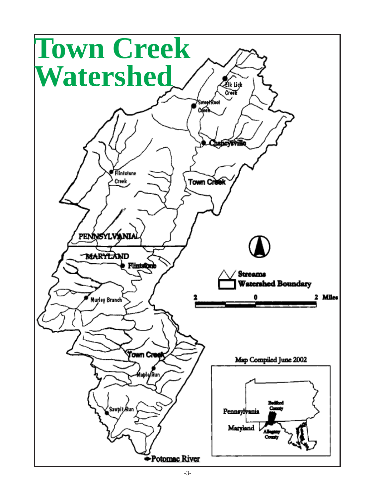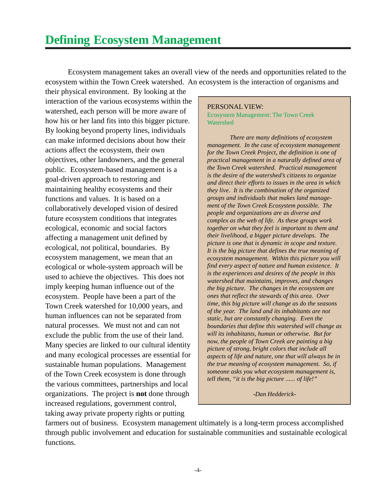Ecosystem management takes an overall view of the needs and opportunities related to the ecosystem within the Town Creek watershed. An ecosystem is the interaction of organisms and

their physical environment. By looking at the interaction of the various ecosystems within the watershed, each person will be more aware of how his or her land fits into this bigger picture. By looking beyond property lines, individuals can make informed decisions about how their actions affect the ecosystem, their own objectives, other landowners, and the general public. Ecosystem-based management is a goal-driven approach to restoring and maintaining healthy ecosystems and their functions and values. It is based on a collaboratively developed vision of desired future ecosystem conditions that integrates ecological, economic and social factors affecting a management unit defined by ecological, not political, boundaries. By ecosystem management, we mean that an ecological or whole-system approach will be used to achieve the objectives. This does not imply keeping human influence out of the ecosystem. People have been a part of the Town Creek watershed for 10,000 years, and human influences can not be separated from natural processes. We must not and can not exclude the public from the use of their land. Many species are linked to our cultural identity and many ecological processes are essential for sustainable human populations. Management of the Town Creek ecosystem is done through the various committees, partnerships and local organizations. The project is **not** done through increased regulations, government control, taking away private property rights or putting

#### PERSONAL VIEW: Ecosystem Management: The Town Creek Watershed

*There are many definitions of ecosystem management. In the case of ecosystem management for the Town Creek Project, the definition is one of practical management in a naturally defined area of the Town Creek watershed. Practical management is the desire of the watershed's citizens to organize and direct their efforts to issues in the area in which they live. It is the combination of the organized groups and individuals that makes land management of the Town Creek Ecosystem possible. The people and organizations are as diverse and complex as the web of life. As these groups work together on what they feel is important to them and their livelihood, a bigger picture develops. The picture is one that is dynamic in scope and texture. It is the big picture that defines the true meaning of ecosystem management. Within this picture you will find every aspect of nature and human existence. It is the experiences and desires of the people in this watershed that maintains, improves, and changes the big picture. The changes in the ecosystem are ones that reflect the stewards of this area. Over time, this big picture will change as do the seasons of the year. The land and its inhabitants are not static, but are constantly changing. Even the boundaries that define this watershed will change as will its inhabitants, human or otherwise. But for now, the people of Town Creek are painting a big picture of strong, bright colors that include all aspects of life and nature, one that will always be in the true meaning of ecosystem management. So, if someone asks you what ecosystem management is, tell them, "it is the big picture ...... of life!"*

*-Dan Hedderick-*

farmers out of business. Ecosystem management ultimately is a long-term process accomplished through public involvement and education for sustainable communities and sustainable ecological functions.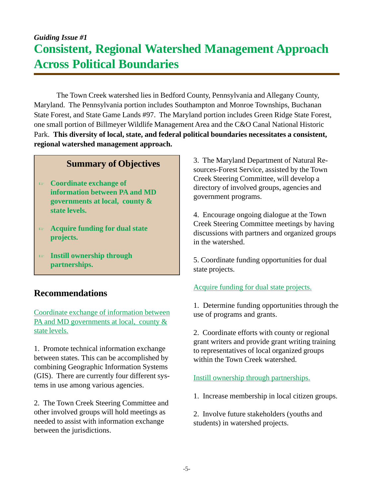# *Guiding Issue #1* **Consistent, Regional Watershed Management Approach Across Political Boundaries**

The Town Creek watershed lies in Bedford County, Pennsylvania and Allegany County, Maryland. The Pennsylvania portion includes Southampton and Monroe Townships, Buchanan State Forest, and State Game Lands #97. The Maryland portion includes Green Ridge State Forest, one small portion of Billmeyer Wildlife Management Area and the C&O Canal National Historic Park. **This diversity of local, state, and federal political boundaries necessitates a consistent, regional watershed management approach.**

## **Summary of Objectives**

- **Coordinate exchange of information between PA and MD governments at local, county & state levels.**
- **Acquire funding for dual state projects.**
- **Instill ownership through partnerships.**

# **Recommendations**

Coordinate exchange of information between PA and MD governments at local, county & state levels.

1. Promote technical information exchange between states. This can be accomplished by combining Geographic Information Systems (GIS). There are currently four different systems in use among various agencies.

2. The Town Creek Steering Committee and other involved groups will hold meetings as needed to assist with information exchange between the jurisdictions.

3. The Maryland Department of Natural Resources-Forest Service, assisted by the Town Creek Steering Committee, will develop a directory of involved groups, agencies and government programs.

4. Encourage ongoing dialogue at the Town Creek Steering Committee meetings by having discussions with partners and organized groups in the watershed.

5. Coordinate funding opportunities for dual state projects.

#### Acquire funding for dual state projects.

1. Determine funding opportunities through the use of programs and grants.

2. Coordinate efforts with county or regional grant writers and provide grant writing training to representatives of local organized groups within the Town Creek watershed.

#### Instill ownership through partnerships.

1. Increase membership in local citizen groups.

2. Involve future stakeholders (youths and students) in watershed projects.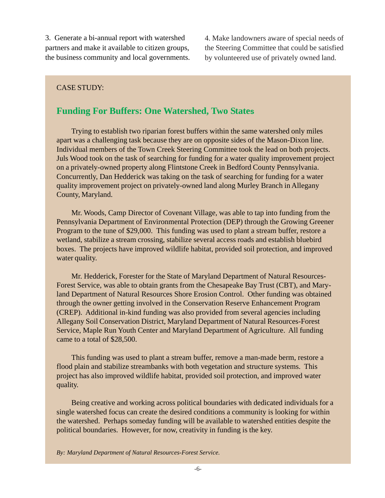3. Generate a bi-annual report with watershed partners and make it available to citizen groups, the business community and local governments.

4. Make landowners aware of special needs of the Steering Committee that could be satisfied by volunteered use of privately owned land.

#### CASE STUDY:

#### **Funding For Buffers: One Watershed, Two States**

Trying to establish two riparian forest buffers within the same watershed only miles apart was a challenging task because they are on opposite sides of the Mason-Dixon line. Individual members of the Town Creek Steering Committee took the lead on both projects. Juls Wood took on the task of searching for funding for a water quality improvement project on a privately-owned property along Flintstone Creek in Bedford County Pennsylvania. Concurrently, Dan Hedderick was taking on the task of searching for funding for a water quality improvement project on privately-owned land along Murley Branch in Allegany County, Maryland.

Mr. Woods, Camp Director of Covenant Village, was able to tap into funding from the Pennsylvania Department of Environmental Protection (DEP) through the Growing Greener Program to the tune of \$29,000. This funding was used to plant a stream buffer, restore a wetland, stabilize a stream crossing, stabilize several access roads and establish bluebird boxes. The projects have improved wildlife habitat, provided soil protection, and improved water quality.

Mr. Hedderick, Forester for the State of Maryland Department of Natural Resources-Forest Service, was able to obtain grants from the Chesapeake Bay Trust (CBT), and Maryland Department of Natural Resources Shore Erosion Control. Other funding was obtained through the owner getting involved in the Conservation Reserve Enhancement Program (CREP). Additional in-kind funding was also provided from several agencies including Allegany Soil Conservation District, Maryland Department of Natural Resources-Forest Service, Maple Run Youth Center and Maryland Department of Agriculture. All funding came to a total of \$28,500.

This funding was used to plant a stream buffer, remove a man-made berm, restore a flood plain and stabilize streambanks with both vegetation and structure systems. This project has also improved wildlife habitat, provided soil protection, and improved water quality.

Being creative and working across political boundaries with dedicated individuals for a single watershed focus can create the desired conditions a community is looking for within the watershed. Perhaps someday funding will be available to watershed entities despite the political boundaries. However, for now, creativity in funding is the key.

#### *By: Maryland Department of Natural Resources-Forest Service.*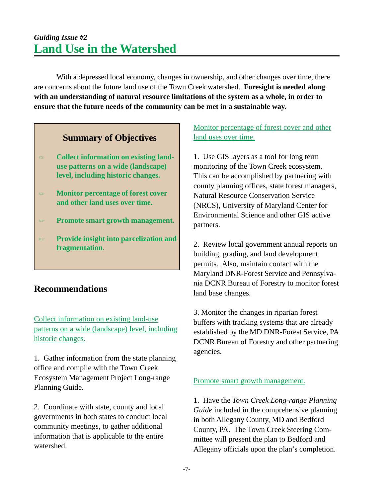# *Guiding Issue #2* **Land Use in the Watershed**

With a depressed local economy, changes in ownership, and other changes over time, there are concerns about the future land use of the Town Creek watershed. **Foresight is needed along with an understanding of natural resource limitations of the system as a whole, in order to ensure that the future needs of the community can be met in a sustainable way.**

# **Summary of Objectives**

- **Collect information on existing landuse patterns on a wide (landscape) level, including historic changes.**
- **Monitor percentage of forest cover and other land uses over time.**
- **Promote smart growth management.**
- **Provide insight into parcelization and fragmentation**.

## **Recommendations**

Collect information on existing land-use patterns on a wide (landscape) level, including historic changes.

1. Gather information from the state planning office and compile with the Town Creek Ecosystem Management Project Long-range Planning Guide.

2. Coordinate with state, county and local governments in both states to conduct local community meetings, to gather additional information that is applicable to the entire watershed.

#### Monitor percentage of forest cover and other land uses over time.

1. Use GIS layers as a tool for long term monitoring of the Town Creek ecosystem. This can be accomplished by partnering with county planning offices, state forest managers, Natural Resource Conservation Service (NRCS), University of Maryland Center for Environmental Science and other GIS active partners.

2. Review local government annual reports on building, grading, and land development permits. Also, maintain contact with the Maryland DNR-Forest Service and Pennsylvania DCNR Bureau of Forestry to monitor forest land base changes.

3. Monitor the changes in riparian forest buffers with tracking systems that are already established by the MD DNR-Forest Service, PA DCNR Bureau of Forestry and other partnering agencies.

#### Promote smart growth management.

1. Have the *Town Creek Long-range Planning Guide* included in the comprehensive planning in both Allegany County, MD and Bedford County, PA. The Town Creek Steering Committee will present the plan to Bedford and Allegany officials upon the plan's completion.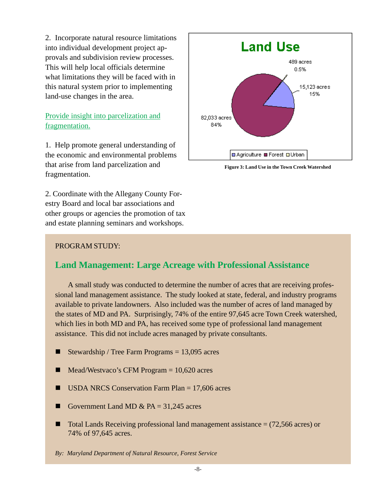2. Incorporate natural resource limitations into individual development project approvals and subdivision review processes. This will help local officials determine what limitations they will be faced with in this natural system prior to implementing land-use changes in the area.

#### Provide insight into parcelization and fragmentation.

1. Help promote general understanding of the economic and environmental problems that arise from land parcelization and fragmentation.

2. Coordinate with the Allegany County Forestry Board and local bar associations and other groups or agencies the promotion of tax and estate planning seminars and workshops.



**Figure 3: Land Use in the Town Creek Watershed**

#### PROGRAM STUDY:

## **Land Management: Large Acreage with Professional Assistance**

A small study was conducted to determine the number of acres that are receiving professional land management assistance. The study looked at state, federal, and industry programs available to private landowners. Also included was the number of acres of land managed by the states of MD and PA. Surprisingly, 74% of the entire 97,645 acre Town Creek watershed, which lies in both MD and PA, has received some type of professional land management assistance. This did not include acres managed by private consultants.

- Stewardship / Tree Farm Programs = 13,095 acres
- Mead/Westvaco's CFM Program = 10,620 acres
- USDA NRCS Conservation Farm Plan = 17,606 acres
- Government Land MD  $\&$  PA = 31,245 acres
- Total Lands Receiving professional land management assistance = (72,566 acres) or 74% of 97,645 acres.

*By: Maryland Department of Natural Resource, Forest Service*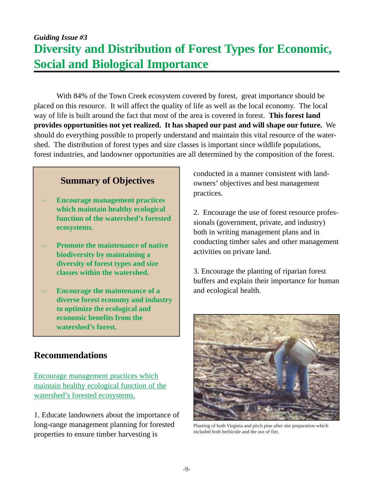# *Guiding Issue #3* **Diversity and Distribution of Forest Types for Economic, Social and Biological Importance**

With 84% of the Town Creek ecosystem covered by forest, great importance should be placed on this resource. It will affect the quality of life as well as the local economy. The local way of life is built around the fact that most of the area is covered in forest. **This forest land provides opportunities not yet realized. It has shaped our past and will shape our future.** We should do everything possible to properly understand and maintain this vital resource of the watershed. The distribution of forest types and size classes is important since wildlife populations, forest industries, and landowner opportunities are all determined by the composition of the forest.

## **Summary of Objectives**

- **Encourage management practices which maintain healthy ecological function of the watershed's forested ecosystems.**
- **Promote the maintenance of native biodiversity by maintaining a diversity of forest types and size classes within the watershed.**
- **Encourage the maintenance of a diverse forest economy and industry to optimize the ecological and economic benefits from the watershed's forest.**

# **Recommendations**

Encourage management practices which maintain healthy ecological function of the watershed's forested ecosystems.

1. Educate landowners about the importance of long-range management planning for forested properties to ensure timber harvesting is

conducted in a manner consistent with landowners' objectives and best management practices.

2. Encourage the use of forest resource professionals (government, private, and industry) both in writing management plans and in conducting timber sales and other management activities on private land.

3. Encourage the planting of riparian forest buffers and explain their importance for human and ecological health.



Planting of both Virginia and pitch pine after site preparation which included both herbicide and the use of fire.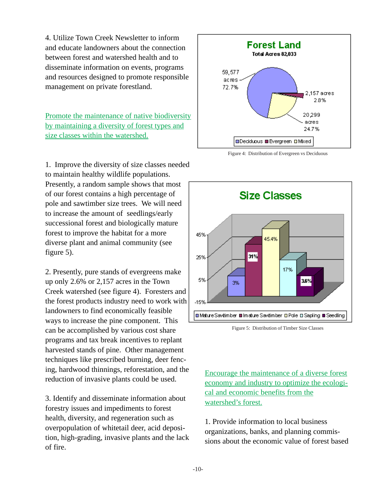4. Utilize Town Creek Newsletter to inform and educate landowners about the connection between forest and watershed health and to disseminate information on events, programs and resources designed to promote responsible management on private forestland.

Promote the maintenance of native biodiversity by maintaining a diversity of forest types and size classes within the watershed.

1. Improve the diversity of size classes needed to maintain healthy wildlife populations. Presently, a random sample shows that most of our forest contains a high percentage of pole and sawtimber size trees. We will need to increase the amount of seedlings/early successional forest and biologically mature forest to improve the habitat for a more diverse plant and animal community (see figure 5).

2. Presently, pure stands of evergreens make up only 2.6% or 2,157 acres in the Town Creek watershed (see figure 4). Foresters and the forest products industry need to work with landowners to find economically feasible ways to increase the pine component. This can be accomplished by various cost share programs and tax break incentives to replant harvested stands of pine. Other management techniques like prescribed burning, deer fencing, hardwood thinnings, reforestation, and the reduction of invasive plants could be used.

3. Identify and disseminate information about forestry issues and impediments to forest health, diversity, and regeneration such as overpopulation of whitetail deer, acid deposition, high-grading, invasive plants and the lack of fire.



Figure 4: Distribution of Evergreen vs Deciduous



Figure 5: Distribution of Timber Size Classes

Encourage the maintenance of a diverse forest economy and industry to optimize the ecological and economic benefits from the watershed's forest.

1. Provide information to local business organizations, banks, and planning commissions about the economic value of forest based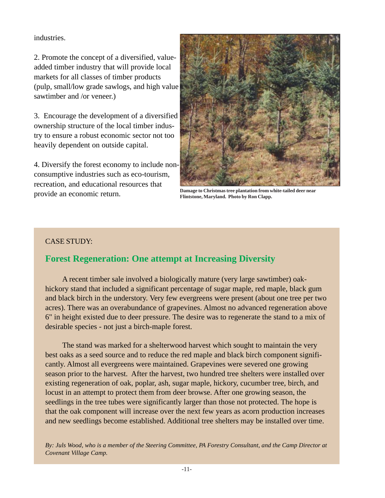industries.

2. Promote the concept of a diversified, valueadded timber industry that will provide local markets for all classes of timber products (pulp, small/low grade sawlogs, and high value sawtimber and /or veneer.)

3. Encourage the development of a diversified ownership structure of the local timber industry to ensure a robust economic sector not too heavily dependent on outside capital.

4. Diversify the forest economy to include nonconsumptive industries such as eco-tourism, recreation, and educational resources that provide an economic return. **Damage to Christmas tree plantation from white-tailed deer near**



**Flintstone, Maryland. Photo by Ron Clapp.**

#### CASE STUDY:

## **Forest Regeneration: One attempt at Increasing Diversity**

A recent timber sale involved a biologically mature (very large sawtimber) oakhickory stand that included a significant percentage of sugar maple, red maple, black gum and black birch in the understory. Very few evergreens were present (about one tree per two acres). There was an overabundance of grapevines. Almost no advanced regeneration above 6" in height existed due to deer pressure. The desire was to regenerate the stand to a mix of desirable species - not just a birch-maple forest.

The stand was marked for a shelterwood harvest which sought to maintain the very best oaks as a seed source and to reduce the red maple and black birch component significantly. Almost all evergreens were maintained. Grapevines were severed one growing season prior to the harvest. After the harvest, two hundred tree shelters were installed over existing regeneration of oak, poplar, ash, sugar maple, hickory, cucumber tree, birch, and locust in an attempt to protect them from deer browse. After one growing season, the seedlings in the tree tubes were significantly larger than those not protected. The hope is that the oak component will increase over the next few years as acorn production increases and new seedlings become established. Additional tree shelters may be installed over time.

*By: Juls Wood, who is a member of the Steering Committee, PA Forestry Consultant, and the Camp Director at Covenant Village Camp.*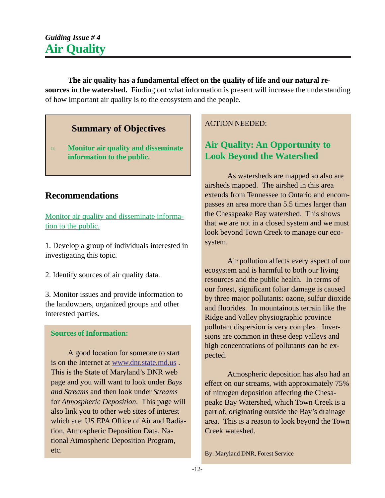#### **The air quality has a fundamental effect on the quality of life and our natural re-**

**sources in the watershed.** Finding out what information is present will increase the understanding of how important air quality is to the ecosystem and the people.

# **Summary of Objectives**

 **Monitor air quality and disseminate information to the public.**

# **Recommendations**

Monitor air quality and disseminate information to the public.

1. Develop a group of individuals interested in investigating this topic.

2. Identify sources of air quality data.

3. Monitor issues and provide information to the landowners, organized groups and other interested parties.

#### **Sources of Information:**

A good location for someone to start is on the Internet at www.dnr.state.md.us . This is the State of Maryland's DNR web page and you will want to look under *Bays and Streams* and then look under *Streams* for *Atmospheric Deposition*. This page will also link you to other web sites of interest which are: US EPA Office of Air and Radiation, Atmospheric Deposition Data, National Atmospheric Deposition Program, etc.

#### ACTION NEEDED:

# **Air Quality: An Opportunity to Look Beyond the Watershed**

As watersheds are mapped so also are airsheds mapped. The airshed in this area extends from Tennessee to Ontario and encompasses an area more than 5.5 times larger than the Chesapeake Bay watershed. This shows that we are not in a closed system and we must look beyond Town Creek to manage our ecosystem.

Air pollution affects every aspect of our ecosystem and is harmful to both our living resources and the public health. In terms of our forest, significant foliar damage is caused by three major pollutants: ozone, sulfur dioxide and fluorides. In mountainous terrain like the Ridge and Valley physiographic province pollutant dispersion is very complex. Inversions are common in these deep valleys and high concentrations of pollutants can be expected.

Atmospheric deposition has also had an effect on our streams, with approximately 75% of nitrogen deposition affecting the Chesapeake Bay Watershed, which Town Creek is a part of, originating outside the Bay's drainage area. This is a reason to look beyond the Town Creek wateshed.

By: Maryland DNR, Forest Service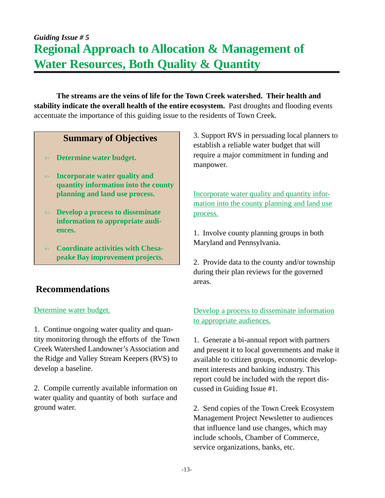# *Guiding Issue # 5* **Regional Approach to Allocation & Management of Water Resources, Both Quality & Quantity**

**The streams are the veins of life for the Town Creek watershed. Their health and stability indicate the overall health of the entire ecosystem.** Past droughts and flooding events accentuate the importance of this guiding issue to the residents of Town Creek.

#### **Summary of Objectives**

- **Determine water budget.**
- **Incorporate water quality and quantity information into the county planning and land use process.**
- **Develop a process to disseminate information to appropriate audiences.**
- **Coordinate activities with Chesapeake Bay improvement projects.**

## **Recommendations**

#### Determine water budget.

1. Continue ongoing water quality and quantity monitoring through the efforts of the Town Creek Watershed Landowner's Association and the Ridge and Valley Stream Keepers (RVS) to develop a baseline.

2. Compile currently available information on water quality and quantity of both surface and ground water.

3. Support RVS in persuading local planners to establish a reliable water budget that will require a major commitment in funding and manpower.

Incorporate water quality and quantity information into the county planning and land use process.

1. Involve county planning groups in both Maryland and Pennsylvania.

2. Provide data to the county and/or township during their plan reviews for the governed areas.

#### Develop a process to disseminate information to appropriate audiences.

1. Generate a bi-annual report with partners and present it to local governments and make it available to citizen groups, economic development interests and banking industry. This report could be included with the report discussed in Guiding Issue #1.

2. Send copies of the Town Creek Ecosystem Management Project Newsletter to audiences that influence land use changes, which may include schools, Chamber of Commerce, service organizations, banks, etc.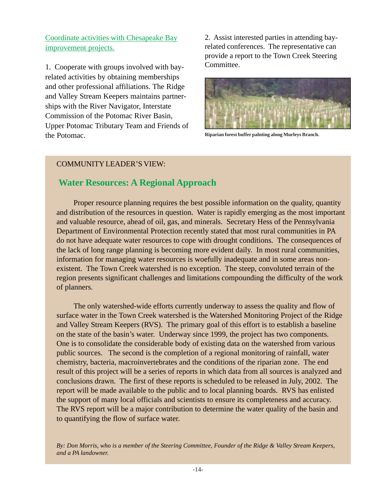Coordinate activities with Chesapeake Bay improvement projects.

1. Cooperate with groups involved with bayrelated activities by obtaining memberships and other professional affiliations. The Ridge and Valley Stream Keepers maintains partnerships with the River Navigator, Interstate Commission of the Potomac River Basin, Upper Potomac Tributary Team and Friends of the Potomac.

2. Assist interested parties in attending bayrelated conferences. The representative can provide a report to the Town Creek Steering Committee.



**Riparian forest buffer palnting along Murleys Branch.**

#### COMMUNITY LEADER'S VIEW:

#### **Water Resources: A Regional Approach**

Proper resource planning requires the best possible information on the quality, quantity and distribution of the resources in question. Water is rapidly emerging as the most important and valuable resource, ahead of oil, gas, and minerals. Secretary Hess of the Pennsylvania Department of Environmental Protection recently stated that most rural communities in PA do not have adequate water resources to cope with drought conditions. The consequences of the lack of long range planning is becoming more evident daily. In most rural communities, information for managing water resources is woefully inadequate and in some areas nonexistent. The Town Creek watershed is no exception. The steep, convoluted terrain of the region presents significant challenges and limitations compounding the difficulty of the work of planners.

The only watershed-wide efforts currently underway to assess the quality and flow of surface water in the Town Creek watershed is the Watershed Monitoring Project of the Ridge and Valley Stream Keepers (RVS). The primary goal of this effort is to establish a baseline on the state of the basin's water. Underway since 1999, the project has two components. One is to consolidate the considerable body of existing data on the watershed from various public sources. The second is the completion of a regional monitoring of rainfall, water chemistry, bacteria, macroinvertebrates and the conditions of the riparian zone. The end result of this project will be a series of reports in which data from all sources is analyzed and conclusions drawn. The first of these reports is scheduled to be released in July, 2002. The report will be made available to the public and to local planning boards. RVS has enlisted the support of many local officials and scientists to ensure its completeness and accuracy. The RVS report will be a major contribution to determine the water quality of the basin and to quantifying the flow of surface water.

*By: Don Morris, who is a member of the Steering Committee, Founder of the Ridge & Valley Stream Keepers, and a PA landowner.*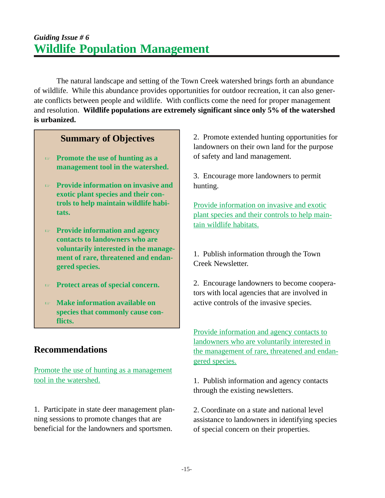The natural landscape and setting of the Town Creek watershed brings forth an abundance of wildlife. While this abundance provides opportunities for outdoor recreation, it can also generate conflicts between people and wildlife. With conflicts come the need for proper management and resolution. **Wildlife populations are extremely significant since only 5% of the watershed is urbanized.**

#### **Summary of Objectives**

- **Promote the use of hunting as a management tool in the watershed.**
- **Provide information on invasive and exotic plant species and their controls to help maintain wildlife habitats.**
- **Provide information and agency contacts to landowners who are voluntarily interested in the management of rare, threatened and endangered species.**
- **Protect areas of special concern.**
- **Make information available on species that commonly cause conflicts.**

# **Recommendations**

Promote the use of hunting as a management tool in the watershed.

1. Participate in state deer management planning sessions to promote changes that are beneficial for the landowners and sportsmen.

2. Promote extended hunting opportunities for landowners on their own land for the purpose of safety and land management.

3. Encourage more landowners to permit hunting.

Provide information on invasive and exotic plant species and their controls to help maintain wildlife habitats.

1. Publish information through the Town Creek Newsletter.

2. Encourage landowners to become cooperators with local agencies that are involved in active controls of the invasive species.

Provide information and agency contacts to landowners who are voluntarily interested in the management of rare, threatened and endangered species.

1. Publish information and agency contacts through the existing newsletters.

2. Coordinate on a state and national level assistance to landowners in identifying species of special concern on their properties.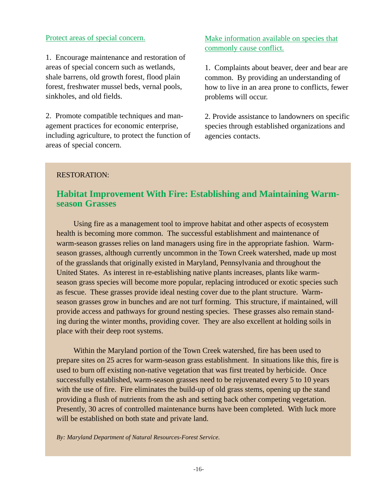#### Protect areas of special concern.

1. Encourage maintenance and restoration of areas of special concern such as wetlands, shale barrens, old growth forest, flood plain forest, freshwater mussel beds, vernal pools, sinkholes, and old fields.

2. Promote compatible techniques and management practices for economic enterprise, including agriculture, to protect the function of areas of special concern.

#### Make information available on species that commonly cause conflict.

1. Complaints about beaver, deer and bear are common. By providing an understanding of how to live in an area prone to conflicts, fewer problems will occur.

2. Provide assistance to landowners on specific species through established organizations and agencies contacts.

#### RESTORATION:

#### **Habitat Improvement With Fire: Establishing and Maintaining Warmseason Grasses**

Using fire as a management tool to improve habitat and other aspects of ecosystem health is becoming more common. The successful establishment and maintenance of warm-season grasses relies on land managers using fire in the appropriate fashion. Warmseason grasses, although currently uncommon in the Town Creek watershed, made up most of the grasslands that originally existed in Maryland, Pennsylvania and throughout the United States. As interest in re-establishing native plants increases, plants like warmseason grass species will become more popular, replacing introduced or exotic species such as fescue. These grasses provide ideal nesting cover due to the plant structure. Warmseason grasses grow in bunches and are not turf forming. This structure, if maintained, will provide access and pathways for ground nesting species. These grasses also remain standing during the winter months, providing cover. They are also excellent at holding soils in place with their deep root systems.

Within the Maryland portion of the Town Creek watershed, fire has been used to prepare sites on 25 acres for warm-season grass establishment. In situations like this, fire is used to burn off existing non-native vegetation that was first treated by herbicide. Once successfully established, warm-season grasses need to be rejuvenated every 5 to 10 years with the use of fire. Fire eliminates the build-up of old grass stems, opening up the stand providing a flush of nutrients from the ash and setting back other competing vegetation. Presently, 30 acres of controlled maintenance burns have been completed. With luck more will be established on both state and private land.

*By: Maryland Department of Natural Resources-Forest Service.*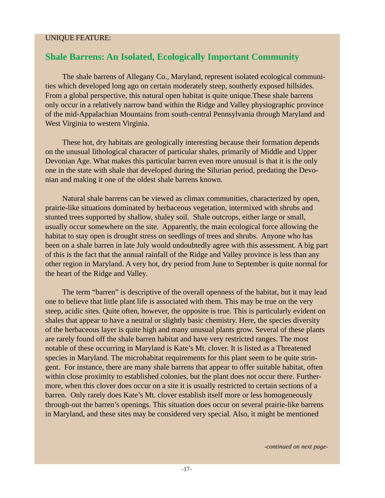#### UNIQUE FEATURE:

## **Shale Barrens: An Isolated, Ecologically Important Community**

The shale barrens of Allegany Co., Maryland, represent isolated ecological communities which developed long ago on certain moderately steep, southerly exposed hillsides. From a global perspective, this natural open habitat is quite unique.These shale barrens only occur in a relatively narrow band within the Ridge and Valley physiographic province of the mid-Appalachian Mountains from south-central Pennsylvania through Maryland and West Virginia to western Virginia.

These hot, dry habitats are geologically interesting because their formation depends on the unusual lithological character of particular shales, primarily of Middle and Upper Devonian Age. What makes this particular barren even more unusual is that it is the only one in the state with shale that developed during the Silurian period, predating the Devonian and making it one of the oldest shale barrens known.

Natural shale barrens can be viewed as climax communities, characterized by open, prairie-like situations dominated by herbaceous vegetation, intermixed with shrubs and stunted trees supported by shallow, shaley soil. Shale outcrops, either large or small, usually occur somewhere on the site. Apparently, the main ecological force allowing the habitat to stay open is drought stress on seedlings of trees and shrubs. Anyone who has been on a shale barren in late July would undoubtedly agree with this assessment. A big part of this is the fact that the annual rainfall of the Ridge and Valley province is less than any other region in Maryland. A very hot, dry period from June to September is quite normal for the heart of the Ridge and Valley.

The term "barren" is descriptive of the overall openness of the habitat, but it may lead one to believe that little plant life is associated with them. This may be true on the very steep, acidic sites. Quite often, however, the opposite is true. This is particularly evident on shales that appear to have a neutral or slightly basic chemistry. Here, the species diversity of the herbaceous layer is quite high and many unusual plants grow. Several of these plants are rarely found off the shale barren habitat and have very restricted ranges. The most notable of these occurring in Maryland is Kate's Mt. clover. It is listed as a Threatened species in Maryland. The microhabitat requirements for this plant seem to be quite stringent. For instance, there are many shale barrens that appear to offer suitable habitat, often within close proximity to established colonies, but the plant does not occur there. Furthermore, when this clover does occur on a site it is usually restricted to certain sections of a barren. Only rarely does Kate's Mt. clover establish itself more or less homogeneously through-out the barren's openings. This situation does occur on several prairie-like barrens in Maryland, and these sites may be considered very special. Also, it might be mentioned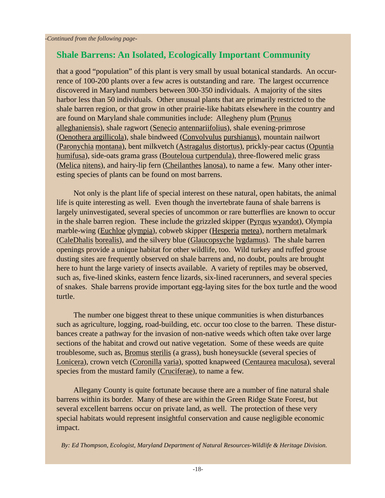# **Shale Barrens: An Isolated, Ecologically Important Community**

that a good "population" of this plant is very small by usual botanical standards. An occurrence of 100-200 plants over a few acres is outstanding and rare. The largest occurrence discovered in Maryland numbers between 300-350 individuals. A majority of the sites harbor less than 50 individuals. Other unusual plants that are primarily restricted to the shale barren region, or that grow in other prairie-like habitats elsewhere in the country and are found on Maryland shale communities include: Allegheny plum (Prunus alleghaniensis), shale ragwort (Senecio antennariifolius), shale evening-primrose (Oenothera argillicola), shale bindweed (Convolvulus purshianus), mountain nailwort (Paronychia montana), bent milkvetch (Astragalus distortus), prickly-pear cactus (Opuntia humifusa), side-oats grama grass (Bouteloua curtpendula), three-flowered melic grass (Melica nitens), and hairy-lip fern (Cheilanthes lanosa), to name a few. Many other interesting species of plants can be found on most barrens.

Not only is the plant life of special interest on these natural, open habitats, the animal life is quite interesting as well. Even though the invertebrate fauna of shale barrens is largely uninvestigated, several species of uncommon or rare butterflies are known to occur in the shale barren region. These include the grizzled skipper (Pyrqus wyandot), Olympia marble-wing (Euchloe olympia), cobweb skipper (Hesperia metea), northern metalmark (CaleDhalis borealis), and the silvery blue (Glaucopsyche lygdamus). The shale barren openings provide a unique habitat for other wildlife, too. Wild turkey and ruffed grouse dusting sites are frequently observed on shale barrens and, no doubt, poults are brought here to hunt the large variety of insects available. A variety of reptiles may be observed, such as, five-lined skinks, eastern fence lizards, six-lined racerunners, and several species of snakes. Shale barrens provide important egg-laying sites for the box turtle and the wood turtle.

The number one biggest threat to these unique communities is when disturbances such as agriculture, logging, road-building, etc. occur too close to the barren. These disturbances create a pathway for the invasion of non-native weeds which often take over large sections of the habitat and crowd out native vegetation. Some of these weeds are quite troublesome, such as, Bromus sterilis (a grass), bush honeysuckle (several species of Lonicera), crown vetch (Coronilla varia), spotted knapweed (Centaurea maculosa), several species from the mustard family (Cruciferae), to name a few.

Allegany County is quite fortunate because there are a number of fine natural shale barrens within its border. Many of these are within the Green Ridge State Forest, but several excellent barrens occur on private land, as well. The protection of these very special habitats would represent insightful conservation and cause negligible economic impact.

 *By: Ed Thompson, Ecologist, Maryland Department of Natural Resources-Wildlife & Heritage Division.*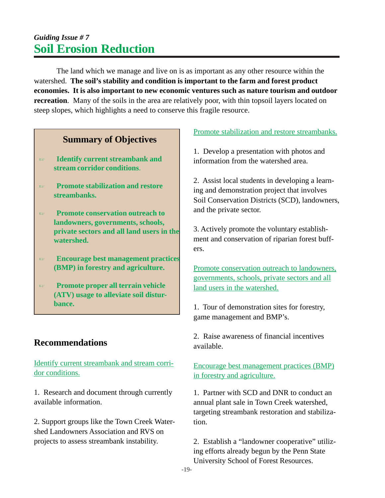# *Guiding Issue # 7* **Soil Erosion Reduction**

The land which we manage and live on is as important as any other resource within the watershed. **The soil's stability and condition is important to the farm and forest product economies. It is also important to new economic ventures such as nature tourism and outdoor recreation**. Many of the soils in the area are relatively poor, with thin topsoil layers located on steep slopes, which highlights a need to conserve this fragile resource.

## **Summary of Objectives**

- **Identify current streambank and stream corridor conditions**.
- **Promote stabilization and restore streambanks.**
- **Promote conservation outreach to landowners, governments, schools, private sectors and all land users in the watershed.**
- **Encourage best management practices (BMP) in forestry and agriculture.**
- **Promote proper all terrain vehicle (ATV) usage to alleviate soil disturbance.**

#### **Recommendations**

Identify current streambank and stream corridor conditions.

1. Research and document through currently available information.

2. Support groups like the Town Creek Watershed Landowners Association and RVS on projects to assess streambank instability.

#### Promote stabilization and restore streambanks.

1. Develop a presentation with photos and information from the watershed area.

2. Assist local students in developing a learning and demonstration project that involves Soil Conservation Districts (SCD), landowners, and the private sector.

3. Actively promote the voluntary establishment and conservation of riparian forest buffers.

Promote conservation outreach to landowners, governments, schools, private sectors and all land users in the watershed.

1. Tour of demonstration sites for forestry, game management and BMP's.

2. Raise awareness of financial incentives available.

Encourage best management practices (BMP) in forestry and agriculture.

1. Partner with SCD and DNR to conduct an annual plant sale in Town Creek watershed, targeting streambank restoration and stabilization.

2. Establish a "landowner cooperative" utilizing efforts already begun by the Penn State University School of Forest Resources.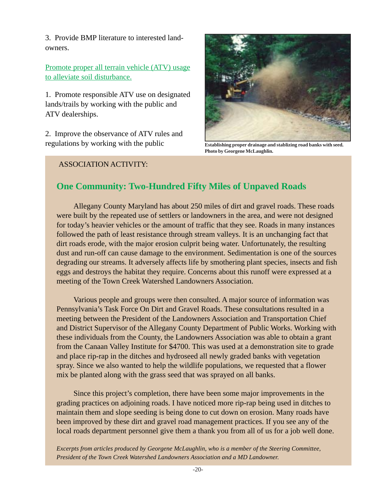3. Provide BMP literature to interested landowners.

Promote proper all terrain vehicle (ATV) usage to alleviate soil disturbance.

1. Promote responsible ATV use on designated lands/trails by working with the public and ATV dealerships.

2. Improve the observance of ATV rules and regulations by working with the public



**Establishing proper drainage and stablizing road banks with seed. Photo by Georgene McLaughlin.**

#### ASSOCIATION ACTIVITY:

# **One Community: Two-Hundred Fifty Miles of Unpaved Roads**

Allegany County Maryland has about 250 miles of dirt and gravel roads. These roads were built by the repeated use of settlers or landowners in the area, and were not designed for today's heavier vehicles or the amount of traffic that they see. Roads in many instances followed the path of least resistance through stream valleys. It is an unchanging fact that dirt roads erode, with the major erosion culprit being water. Unfortunately, the resulting dust and run-off can cause damage to the environment. Sedimentation is one of the sources degrading our streams. It adversely affects life by smothering plant species, insects and fish eggs and destroys the habitat they require. Concerns about this runoff were expressed at a meeting of the Town Creek Watershed Landowners Association.

Various people and groups were then consulted. A major source of information was Pennsylvania's Task Force On Dirt and Gravel Roads. These consultations resulted in a meeting between the President of the Landowners Association and Transportation Chief and District Supervisor of the Allegany County Department of Public Works. Working with these individuals from the County, the Landowners Association was able to obtain a grant from the Canaan Valley Institute for \$4700. This was used at a demonstration site to grade and place rip-rap in the ditches and hydroseed all newly graded banks with vegetation spray. Since we also wanted to help the wildlife populations, we requested that a flower mix be planted along with the grass seed that was sprayed on all banks.

Since this project's completion, there have been some major improvements in the grading practices on adjoining roads. I have noticed more rip-rap being used in ditches to maintain them and slope seeding is being done to cut down on erosion. Many roads have been improved by these dirt and gravel road management practices. If you see any of the local roads department personnel give them a thank you from all of us for a job well done.

*Excerpts from articles produced by Georgene McLaughlin, who is a member of the Steering Committee, President of the Town Creek Watershed Landowners Association and a MD Landowner.*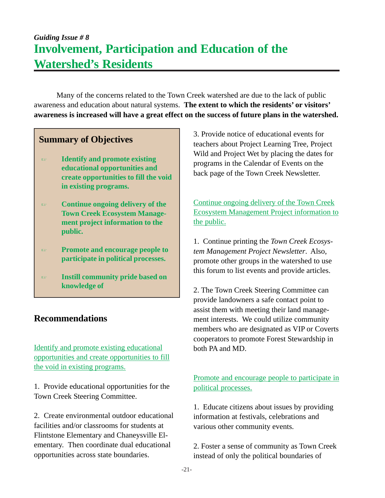# *Guiding Issue # 8* **Involvement, Participation and Education of the Watershed's Residents**

Many of the concerns related to the Town Creek watershed are due to the lack of public awareness and education about natural systems. **The extent to which the residents' or visitors' awareness is increased will have a great effect on the success of future plans in the watershed.**

#### **Summary of Objectives**

- **Identify and promote existing educational opportunities and create opportunities to fill the void in existing programs.**
- **Continue ongoing delivery of the Town Creek Ecosystem Management project information to the public.**
- **Promote and encourage people to participate in political processes.**
- **Instill community pride based on knowledge of**

#### **Recommendations**

Identify and promote existing educational opportunities and create opportunities to fill the void in existing programs.

1. Provide educational opportunities for the Town Creek Steering Committee.

2. Create environmental outdoor educational facilities and/or classrooms for students at Flintstone Elementary and Chaneysville Elementary. Then coordinate dual educational opportunities across state boundaries.

3. Provide notice of educational events for teachers about Project Learning Tree, Project Wild and Project Wet by placing the dates for programs in the Calendar of Events on the back page of the Town Creek Newsletter.

Continue ongoing delivery of the Town Creek Ecosystem Management Project information to the public.

1. Continue printing the *Town Creek Ecosystem Management Project Newsletter*. Also, promote other groups in the watershed to use this forum to list events and provide articles.

2. The Town Creek Steering Committee can provide landowners a safe contact point to assist them with meeting their land management interests. We could utilize community members who are designated as VIP or Coverts cooperators to promote Forest Stewardship in both PA and MD.

Promote and encourage people to participate in political processes.

1. Educate citizens about issues by providing information at festivals, celebrations and various other community events.

2. Foster a sense of community as Town Creek instead of only the political boundaries of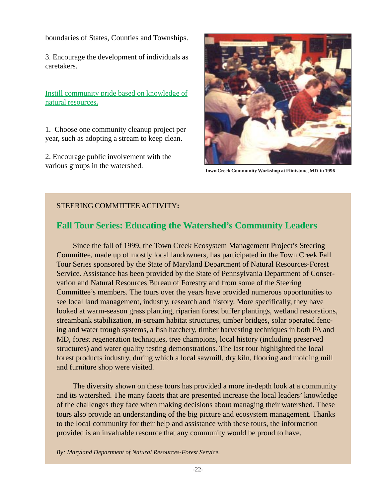boundaries of States, Counties and Townships.

3. Encourage the development of individuals as caretakers.

Instill community pride based on knowledge of natural resources**.**

1. Choose one community cleanup project per year, such as adopting a stream to keep clean.

2. Encourage public involvement with the various groups in the watershed.



**Town Creek Community Workshop at Flintstone, MD in 1996**

#### STEERING COMMITTEE ACTIVITY**:**

## **Fall Tour Series: Educating the Watershed's Community Leaders**

Since the fall of 1999, the Town Creek Ecosystem Management Project's Steering Committee, made up of mostly local landowners, has participated in the Town Creek Fall Tour Series sponsored by the State of Maryland Department of Natural Resources-Forest Service. Assistance has been provided by the State of Pennsylvania Department of Conservation and Natural Resources Bureau of Forestry and from some of the Steering Committee's members. The tours over the years have provided numerous opportunities to see local land management, industry, research and history. More specifically, they have looked at warm-season grass planting, riparian forest buffer plantings, wetland restorations, streambank stabilization, in-stream habitat structures, timber bridges, solar operated fencing and water trough systems, a fish hatchery, timber harvesting techniques in both PA and MD, forest regeneration techniques, tree champions, local history (including preserved structures) and water quality testing demonstrations. The last tour highlighted the local forest products industry, during which a local sawmill, dry kiln, flooring and molding mill and furniture shop were visited.

The diversity shown on these tours has provided a more in-depth look at a community and its watershed. The many facets that are presented increase the local leaders' knowledge of the challenges they face when making decisions about managing their watershed. These tours also provide an understanding of the big picture and ecosystem management. Thanks to the local community for their help and assistance with these tours, the information provided is an invaluable resource that any community would be proud to have.

*By: Maryland Department of Natural Resources-Forest Service.*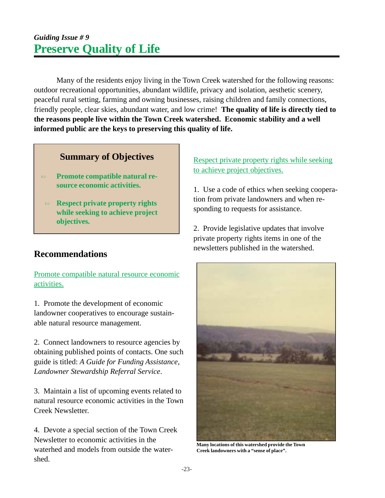Many of the residents enjoy living in the Town Creek watershed for the following reasons: outdoor recreational opportunities, abundant wildlife, privacy and isolation, aesthetic scenery, peaceful rural setting, farming and owning businesses, raising children and family connections, friendly people, clear skies, abundant water, and low crime! **The quality of life is directly tied to the reasons people live within the Town Creek watershed. Economic stability and a well informed public are the keys to preserving this quality of life.**

#### **Summary of Objectives**

- **Promote compatible natural resource economic activities.**
- **Respect private property rights while seeking to achieve project objectives.**

#### Respect private property rights while seeking to achieve project objectives.

1. Use a code of ethics when seeking cooperation from private landowners and when responding to requests for assistance.

2. Provide legislative updates that involve private property rights items in one of the newsletters published in the watershed.

## **Recommendations**

Promote compatible natural resource economic activities.

1. Promote the development of economic landowner cooperatives to encourage sustainable natural resource management.

2. Connect landowners to resource agencies by obtaining published points of contacts. One such guide is titled: *A Guide for Funding Assistance*, *Landowner Stewardship Referral Service*.

3. Maintain a list of upcoming events related to natural resource economic activities in the Town Creek Newsletter.

4. Devote a special section of the Town Creek Newsletter to economic activities in the waterhed and models from outside the watershed.



**Many locations of this watershed provide the Town Creek landowners with a "sense of place".**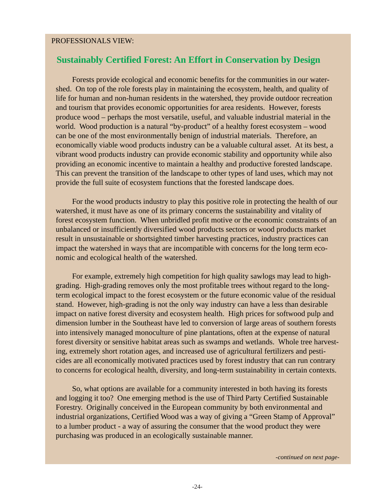#### PROFESSIONALS VIEW:

#### **Sustainably Certified Forest: An Effort in Conservation by Design**

Forests provide ecological and economic benefits for the communities in our watershed. On top of the role forests play in maintaining the ecosystem, health, and quality of life for human and non-human residents in the watershed, they provide outdoor recreation and tourism that provides economic opportunities for area residents. However, forests produce wood – perhaps the most versatile, useful, and valuable industrial material in the world. Wood production is a natural "by-product" of a healthy forest ecosystem – wood can be one of the most environmentally benign of industrial materials. Therefore, an economically viable wood products industry can be a valuable cultural asset. At its best, a vibrant wood products industry can provide economic stability and opportunity while also providing an economic incentive to maintain a healthy and productive forested landscape. This can prevent the transition of the landscape to other types of land uses, which may not provide the full suite of ecosystem functions that the forested landscape does.

For the wood products industry to play this positive role in protecting the health of our watershed, it must have as one of its primary concerns the sustainability and vitality of forest ecosystem function. When unbridled profit motive or the economic constraints of an unbalanced or insufficiently diversified wood products sectors or wood products market result in unsustainable or shortsighted timber harvesting practices, industry practices can impact the watershed in ways that are incompatible with concerns for the long term economic and ecological health of the watershed.

For example, extremely high competition for high quality sawlogs may lead to highgrading. High-grading removes only the most profitable trees without regard to the longterm ecological impact to the forest ecosystem or the future economic value of the residual stand. However, high-grading is not the only way industry can have a less than desirable impact on native forest diversity and ecosystem health. High prices for softwood pulp and dimension lumber in the Southeast have led to conversion of large areas of southern forests into intensively managed monoculture of pine plantations, often at the expense of natural forest diversity or sensitive habitat areas such as swamps and wetlands. Whole tree harvesting, extremely short rotation ages, and increased use of agricultural fertilizers and pesticides are all economically motivated practices used by forest industry that can run contrary to concerns for ecological health, diversity, and long-term sustainability in certain contexts.

So, what options are available for a community interested in both having its forests and logging it too? One emerging method is the use of Third Party Certified Sustainable Forestry. Originally conceived in the European community by both environmental and industrial organizations, Certified Wood was a way of giving a "Green Stamp of Approval" to a lumber product - a way of assuring the consumer that the wood product they were purchasing was produced in an ecologically sustainable manner.

*-continued on next page-*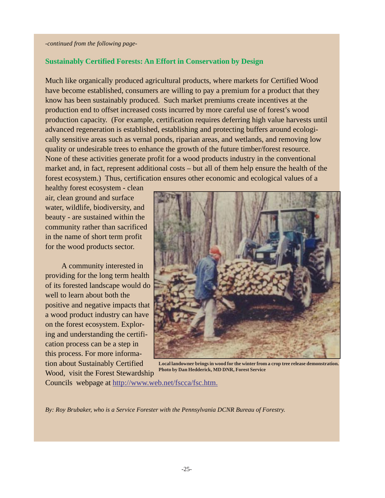#### *-continued from the following page-*

#### **Sustainably Certified Forests: An Effort in Conservation by Design**

Much like organically produced agricultural products, where markets for Certified Wood have become established, consumers are willing to pay a premium for a product that they know has been sustainably produced. Such market premiums create incentives at the production end to offset increased costs incurred by more careful use of forest's wood production capacity. (For example, certification requires deferring high value harvests until advanced regeneration is established, establishing and protecting buffers around ecologically sensitive areas such as vernal ponds, riparian areas, and wetlands, and removing low quality or undesirable trees to enhance the growth of the future timber/forest resource. None of these activities generate profit for a wood products industry in the conventional market and, in fact, represent additional costs – but all of them help ensure the health of the forest ecosystem.) Thus, certification ensures other economic and ecological values of a

healthy forest ecosystem - clean air, clean ground and surface water, wildlife, biodiversity, and beauty - are sustained within the community rather than sacrificed in the name of short term profit for the wood products sector.

A community interested in providing for the long term health of its forested landscape would do well to learn about both the positive and negative impacts that a wood product industry can have on the forest ecosystem. Exploring and understanding the certification process can be a step in this process. For more information about Sustainably Certified Wood, visit the Forest Stewardship



**Local landowner brings in wood for the winter from a crop tree release demonstration. Photo by Dan Hedderick, MD DNR, Forest Service**

Councils webpage at http://www.web.net/fscca/fsc.htm.

*By: Roy Brubaker, who is a Service Forester with the Pennsylvania DCNR Bureau of Forestry.*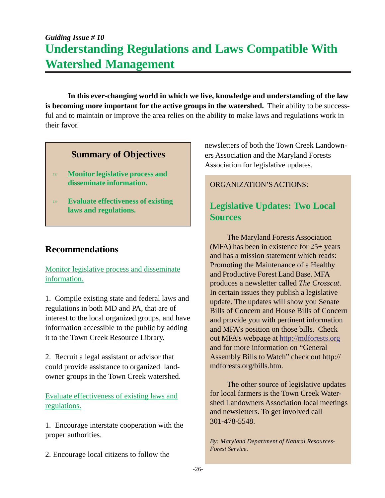# *Guiding Issue # 10* **Understanding Regulations and Laws Compatible With Watershed Management**

**In this ever-changing world in which we live, knowledge and understanding of the law is becoming more important for the active groups in the watershed.** Their ability to be successful and to maintain or improve the area relies on the ability to make laws and regulations work in their favor.

## **Summary of Objectives**

**Monitor legislative process and disseminate information.**

 **Evaluate effectiveness of existing laws and regulations.**

### **Recommendations**

Monitor legislative process and disseminate information.

1. Compile existing state and federal laws and regulations in both MD and PA, that are of interest to the local organized groups, and have information accessible to the public by adding it to the Town Creek Resource Library.

2. Recruit a legal assistant or advisor that could provide assistance to organized landowner groups in the Town Creek watershed.

Evaluate effectiveness of existing laws and regulations.

1. Encourage interstate cooperation with the proper authorities.

2. Encourage local citizens to follow the

newsletters of both the Town Creek Landowners Association and the Maryland Forests Association for legislative updates.

#### ORGANIZATION'S ACTIONS:

# **Legislative Updates: Two Local Sources**

The Maryland Forests Association (MFA) has been in existence for 25+ years and has a mission statement which reads: Promoting the Maintenance of a Healthy and Productive Forest Land Base. MFA produces a newsletter called *The Crosscut*. In certain issues they publish a legislative update. The updates will show you Senate Bills of Concern and House Bills of Concern and provide you with pertinent information and MFA's position on those bills. Check out MFA's webpage at http://mdforests.org and for more information on "General Assembly Bills to Watch" check out http:// mdforests.org/bills.htm.

The other source of legislative updates for local farmers is the Town Creek Watershed Landowners Association local meetings and newsletters. To get involved call 301-478-5548.

*By: Maryland Department of Natural Resources-Forest Service.*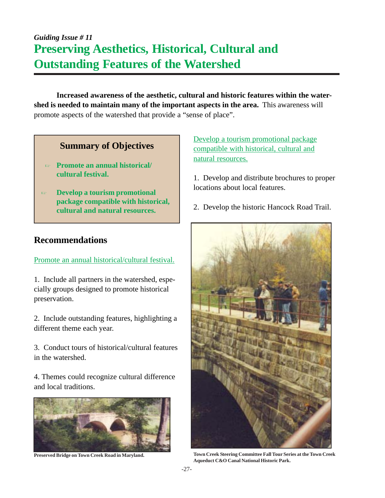# *Guiding Issue # 11* **Preserving Aesthetics, Historical, Cultural and Outstanding Features of the Watershed**

**Increased awareness of the aesthetic, cultural and historic features within the watershed is needed to maintain many of the important aspects in the area.** This awareness will promote aspects of the watershed that provide a "sense of place".

#### **Summary of Objectives**

- **Promote an annual historical/ cultural festival.**
- **Develop a tourism promotional package compatible with historical, cultural and natural resources.**

## **Recommendations**

#### Promote an annual historical/cultural festival.

1. Include all partners in the watershed, especially groups designed to promote historical preservation.

2. Include outstanding features, highlighting a different theme each year.

3. Conduct tours of historical/cultural features in the watershed.

4. Themes could recognize cultural difference and local traditions.



Develop a tourism promotional package compatible with historical, cultural and natural resources.

1. Develop and distribute brochures to proper locations about local features.

2. Develop the historic Hancock Road Trail.



**Preserved Bridge on Town Creek Road in Maryland. Town Creek Steering Committee Fall Tour Series at the Town Creek Aqueduct C&O Canal National Historic Park.**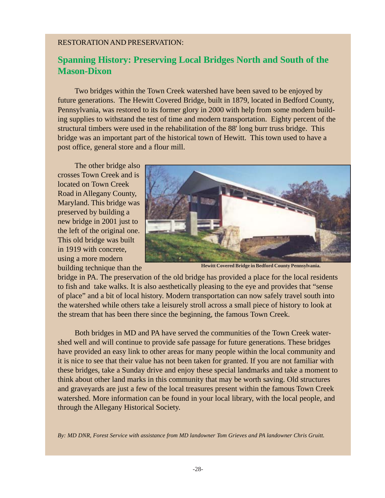#### RESTORATION AND PRESERVATION:

## **Spanning History: Preserving Local Bridges North and South of the Mason-Dixon**

Two bridges within the Town Creek watershed have been saved to be enjoyed by future generations. The Hewitt Covered Bridge, built in 1879, located in Bedford County, Pennsylvania, was restored to its former glory in 2000 with help from some modern building supplies to withstand the test of time and modern transportation. Eighty percent of the structural timbers were used in the rehabilitation of the 88' long burr truss bridge. This bridge was an important part of the historical town of Hewitt. This town used to have a post office, general store and a flour mill.

The other bridge also crosses Town Creek and is located on Town Creek Road in Allegany County, Maryland. This bridge was preserved by building a new bridge in 2001 just to the left of the original one. This old bridge was built in 1919 with concrete, using a more modern building technique than the



**Hewitt Covered Bridge in Bedford County Pennsylvania.**

bridge in PA. The preservation of the old bridge has provided a place for the local residents to fish and take walks. It is also aesthetically pleasing to the eye and provides that "sense of place" and a bit of local history. Modern transportation can now safely travel south into the watershed while others take a leisurely stroll across a small piece of history to look at the stream that has been there since the beginning, the famous Town Creek.

Both bridges in MD and PA have served the communities of the Town Creek watershed well and will continue to provide safe passage for future generations. These bridges have provided an easy link to other areas for many people within the local community and it is nice to see that their value has not been taken for granted. If you are not familiar with these bridges, take a Sunday drive and enjoy these special landmarks and take a moment to think about other land marks in this community that may be worth saving. Old structures and graveyards are just a few of the local treasures present within the famous Town Creek watershed. More information can be found in your local library, with the local people, and through the Allegany Historical Society.

*By: MD DNR, Forest Service with assistance from MD landowner Tom Grieves and PA landowner Chris Gruitt.*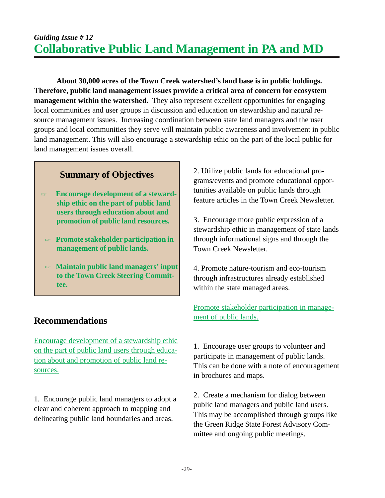**About 30,000 acres of the Town Creek watershed's land base is in public holdings. Therefore, public land management issues provide a critical area of concern for ecosystem management within the watershed.** They also represent excellent opportunities for engaging local communities and user groups in discussion and education on stewardship and natural resource management issues. Increasing coordination between state land managers and the user groups and local communities they serve will maintain public awareness and involvement in public land management. This will also encourage a stewardship ethic on the part of the local public for land management issues overall.

## **Summary of Objectives**

- **Encourage development of a stewardship ethic on the part of public land users through education about and promotion of public land resources.**
- **Promote stakeholder participation in management of public lands.**
- **Maintain public land managers' input to the Town Creek Steering Committee.**

# **Recommendations**

Encourage development of a stewardship ethic on the part of public land users through education about and promotion of public land resources.

1. Encourage public land managers to adopt a clear and coherent approach to mapping and delineating public land boundaries and areas.

2. Utilize public lands for educational programs/events and promote educational opportunities available on public lands through feature articles in the Town Creek Newsletter.

3. Encourage more public expression of a stewardship ethic in management of state lands through informational signs and through the Town Creek Newsletter.

4. Promote nature-tourism and eco-tourism through infrastructures already established within the state managed areas.

#### Promote stakeholder participation in management of public lands.

1. Encourage user groups to volunteer and participate in management of public lands. This can be done with a note of encouragement in brochures and maps.

2. Create a mechanism for dialog between public land managers and public land users. This may be accomplished through groups like the Green Ridge State Forest Advisory Committee and ongoing public meetings.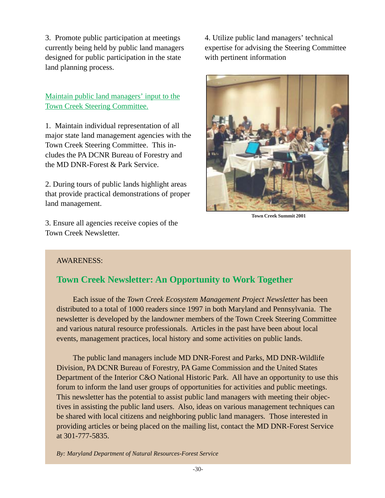3. Promote public participation at meetings currently being held by public land managers designed for public participation in the state land planning process.

Maintain public land managers' input to the Town Creek Steering Committee.

1. Maintain individual representation of all major state land management agencies with the Town Creek Steering Committee. This includes the PA DCNR Bureau of Forestry and the MD DNR-Forest & Park Service.

2. During tours of public lands highlight areas that provide practical demonstrations of proper land management.

3. Ensure all agencies receive copies of the Town Creek Newsletter.

4. Utilize public land managers' technical expertise for advising the Steering Committee with pertinent information



**Town Creek Summit 2001**

#### AWARENESS:

## **Town Creek Newsletter: An Opportunity to Work Together**

Each issue of the *Town Creek Ecosystem Management Project Newsletter* has been distributed to a total of 1000 readers since 1997 in both Maryland and Pennsylvania. The newsletter is developed by the landowner members of the Town Creek Steering Committee and various natural resource professionals. Articles in the past have been about local events, management practices, local history and some activities on public lands.

The public land managers include MD DNR-Forest and Parks, MD DNR-Wildlife Division, PA DCNR Bureau of Forestry, PA Game Commission and the United States Department of the Interior C&O National Historic Park. All have an opportunity to use this forum to inform the land user groups of opportunities for activities and public meetings. This newsletter has the potential to assist public land managers with meeting their objectives in assisting the public land users. Also, ideas on various management techniques can be shared with local citizens and neighboring public land managers. Those interested in providing articles or being placed on the mailing list, contact the MD DNR-Forest Service at 301-777-5835.

*By: Maryland Department of Natural Resources-Forest Service*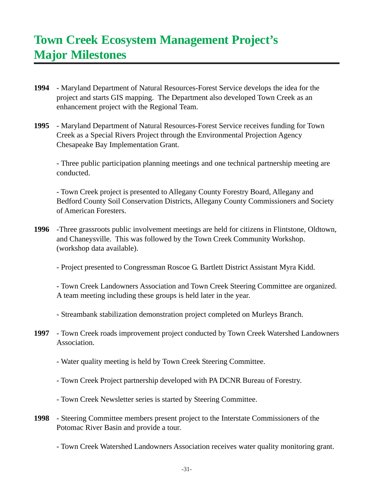# **Town Creek Ecosystem Management Project's Major Milestones**

- **1994** Maryland Department of Natural Resources-Forest Service develops the idea for the project and starts GIS mapping. The Department also developed Town Creek as an enhancement project with the Regional Team.
- **1995** Maryland Department of Natural Resources-Forest Service receives funding for Town Creek as a Special Rivers Project through the Environmental Projection Agency Chesapeake Bay Implementation Grant.

- Three public participation planning meetings and one technical partnership meeting are conducted.

- Town Creek project is presented to Allegany County Forestry Board, Allegany and Bedford County Soil Conservation Districts, Allegany County Commissioners and Society of American Foresters.

- **1996** -Three grassroots public involvement meetings are held for citizens in Flintstone, Oldtown, and Chaneysville. This was followed by the Town Creek Community Workshop. (workshop data available).
	- Project presented to Congressman Roscoe G. Bartlett District Assistant Myra Kidd.

- Town Creek Landowners Association and Town Creek Steering Committee are organized. A team meeting including these groups is held later in the year.

- Streambank stabilization demonstration project completed on Murleys Branch.

- **1997** Town Creek roads improvement project conducted by Town Creek Watershed Landowners Association.
	- Water quality meeting is held by Town Creek Steering Committee.
	- Town Creek Project partnership developed with PA DCNR Bureau of Forestry.
	- Town Creek Newsletter series is started by Steering Committee.
- **1998** Steering Committee members present project to the Interstate Commissioners of the Potomac River Basin and provide a tour.

- Town Creek Watershed Landowners Association receives water quality monitoring grant.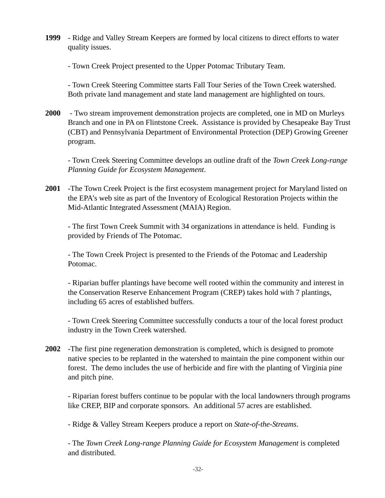**1999** - Ridge and Valley Stream Keepers are formed by local citizens to direct efforts to water quality issues.

- Town Creek Project presented to the Upper Potomac Tributary Team.

- Town Creek Steering Committee starts Fall Tour Series of the Town Creek watershed. Both private land management and state land management are highlighted on tours.

**2000** - Two stream improvement demonstration projects are completed, one in MD on Murleys Branch and one in PA on Flintstone Creek. Assistance is provided by Chesapeake Bay Trust (CBT) and Pennsylvania Department of Environmental Protection (DEP) Growing Greener program.

- Town Creek Steering Committee develops an outline draft of the *Town Creek Long-range Planning Guide for Ecosystem Management*.

**2001** -The Town Creek Project is the first ecosystem management project for Maryland listed on the EPA's web site as part of the Inventory of Ecological Restoration Projects within the Mid-Atlantic Integrated Assessment (MAIA) Region.

- The first Town Creek Summit with 34 organizations in attendance is held. Funding is provided by Friends of The Potomac.

- The Town Creek Project is presented to the Friends of the Potomac and Leadership Potomac.

- Riparian buffer plantings have become well rooted within the community and interest in the Conservation Reserve Enhancement Program (CREP) takes hold with 7 plantings, including 65 acres of established buffers.

- Town Creek Steering Committee successfully conducts a tour of the local forest product industry in the Town Creek watershed.

**2002** -The first pine regeneration demonstration is completed, which is designed to promote native species to be replanted in the watershed to maintain the pine component within our forest. The demo includes the use of herbicide and fire with the planting of Virginia pine and pitch pine.

- Riparian forest buffers continue to be popular with the local landowners through programs like CREP, BIP and corporate sponsors. An additional 57 acres are established.

- Ridge & Valley Stream Keepers produce a report on *State-of-the-Streams*.

- The *Town Creek Long-range Planning Guide for Ecosystem Management* is completed and distributed.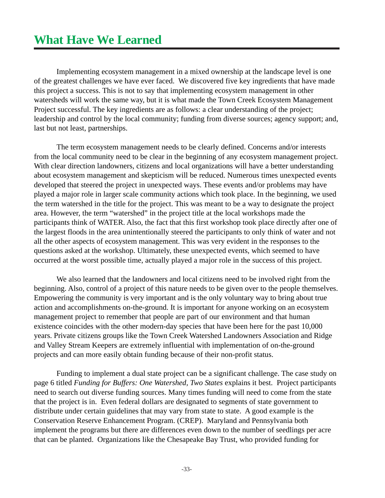Implementing ecosystem management in a mixed ownership at the landscape level is one of the greatest challenges we have ever faced. We discovered five key ingredients that have made this project a success. This is not to say that implementing ecosystem management in other watersheds will work the same way, but it is what made the Town Creek Ecosystem Management Project successful. The key ingredients are as follows: a clear understanding of the project; leadership and control by the local community; funding from diverse sources; agency support; and, last but not least, partnerships.

The term ecosystem management needs to be clearly defined. Concerns and/or interests from the local community need to be clear in the beginning of any ecosystem management project. With clear direction landowners, citizens and local organizations will have a better understanding about ecosystem management and skepticism will be reduced. Numerous times unexpected events developed that steered the project in unexpected ways. These events and/or problems may have played a major role in larger scale community actions which took place. In the beginning, we used the term watershed in the title for the project. This was meant to be a way to designate the project area. However, the term "watershed" in the project title at the local workshops made the participants think of WATER. Also, the fact that this first workshop took place directly after one of the largest floods in the area unintentionally steered the participants to only think of water and not all the other aspects of ecosystem management. This was very evident in the responses to the questions asked at the workshop. Ultimately, these unexpected events, which seemed to have occurred at the worst possible time, actually played a major role in the success of this project.

We also learned that the landowners and local citizens need to be involved right from the beginning. Also, control of a project of this nature needs to be given over to the people themselves. Empowering the community is very important and is the only voluntary way to bring about true action and accomplishments on-the-ground. It is important for anyone working on an ecosystem management project to remember that people are part of our environment and that human existence coincides with the other modern-day species that have been here for the past 10,000 years. Private citizens groups like the Town Creek Watershed Landowners Association and Ridge and Valley Stream Keepers are extremely influential with implementation of on-the-ground projects and can more easily obtain funding because of their non-profit status.

Funding to implement a dual state project can be a significant challenge. The case study on page 6 titled *Funding for Buffers: One Watershed, Two States* explains it best. Project participants need to search out diverse funding sources. Many times funding will need to come from the state that the project is in. Even federal dollars are designated to segments of state government to distribute under certain guidelines that may vary from state to state. A good example is the Conservation Reserve Enhancement Program. (CREP). Maryland and Pennsylvania both implement the programs but there are differences even down to the number of seedlings per acre that can be planted. Organizations like the Chesapeake Bay Trust, who provided funding for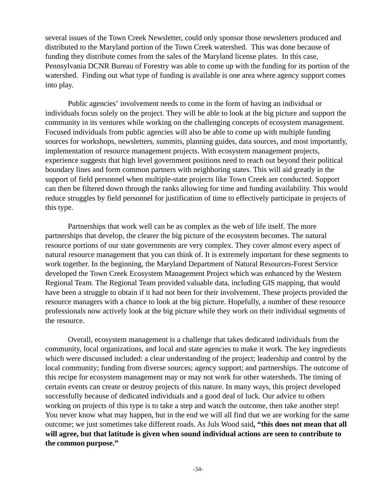several issues of the Town Creek Newsletter, could only sponsor those newsletters produced and distributed to the Maryland portion of the Town Creek watershed. This was done because of funding they distribute comes from the sales of the Maryland license plates. In this case, Pennsylvania DCNR Bureau of Forestry was able to come up with the funding for its portion of the watershed. Finding out what type of funding is available is one area where agency support comes into play.

Public agencies' involvement needs to come in the form of having an individual or individuals focus solely on the project. They will be able to look at the big picture and support the community in its ventures while working on the challenging concepts of ecosystem management. Focused individuals from public agencies will also be able to come up with multiple funding sources for workshops, newsletters, summits, planning guides, data sources, and most importantly, implementation of resource management projects. With ecosystem management projects, experience suggests that high level government positions need to reach out beyond their political boundary lines and form common partners with neighboring states. This will aid greatly in the support of field personnel when multiple-state projects like Town Creek are conducted. Support can then be filtered down through the ranks allowing for time and funding availability. This would reduce struggles by field personnel for justification of time to effectively participate in projects of this type.

Partnerships that work well can be as complex as the web of life itself. The more partnerships that develop, the clearer the big picture of the ecosystem becomes. The natural resource portions of our state governments are very complex. They cover almost every aspect of natural resource management that you can think of. It is extremely important for these segments to work together. In the beginning, the Maryland Department of Natural Resources-Forest Service developed the Town Creek Ecosystem Management Project which was enhanced by the Western Regional Team. The Regional Team provided valuable data, including GIS mapping, that would have been a struggle to obtain if it had not been for their involvement. These projects provided the resource managers with a chance to look at the big picture. Hopefully, a number of these resource professionals now actively look at the big picture while they work on their individual segments of the resource.

Overall, ecosystem management is a challenge that takes dedicated individuals from the community, local organizations, and local and state agencies to make it work. The key ingredients which were discussed included: a clear understanding of the project; leadership and control by the local community; funding from diverse sources; agency support; and partnerships. The outcome of this recipe for ecosystem management may or may not work for other watersheds. The timing of certain events can create or destroy projects of this nature. In many ways, this project developed successfully because of dedicated individuals and a good deal of luck. Our advice to others working on projects of this type is to take a step and watch the outcome, then take another step! You never know what may happen, but in the end we will all find that we are working for the same outcome; we just sometimes take different roads. As Juls Wood said**, "this does not mean that all will agree, but that latitude is given when sound individual actions are seen to contribute to the common purpose."**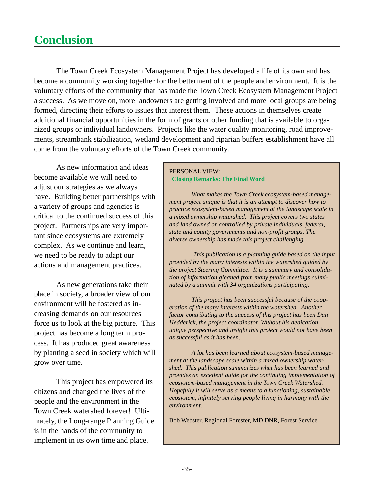The Town Creek Ecosystem Management Project has developed a life of its own and has become a community working together for the betterment of the people and environment. It is the voluntary efforts of the community that has made the Town Creek Ecosystem Management Project a success. As we move on, more landowners are getting involved and more local groups are being formed, directing their efforts to issues that interest them. These actions in themselves create additional financial opportunities in the form of grants or other funding that is available to organized groups or individual landowners. Projects like the water quality monitoring, road improvements, streambank stabilization, wetland development and riparian buffers establishment have all come from the voluntary efforts of the Town Creek community.

As new information and ideas become available we will need to adjust our strategies as we always have. Building better partnerships with a variety of groups and agencies is critical to the continued success of this project. Partnerships are very important since ecosystems are extremely complex. As we continue and learn, we need to be ready to adapt our actions and management practices.

As new generations take their place in society, a broader view of our environment will be fostered as increasing demands on our resources force us to look at the big picture. This project has become a long term process. It has produced great awareness by planting a seed in society which will grow over time.

This project has empowered its citizens and changed the lives of the people and the environment in the Town Creek watershed forever! Ultimately, the Long-range Planning Guide is in the hands of the community to implement in its own time and place.

#### PERSONAL VIEW:  **Closing Remarks: The Final Word**

*What makes the Town Creek ecosystem-based management project unique is that it is an attempt to discover how to practice ecosystem-based management at the landscape scale in a mixed ownership watershed. This project covers two states and land owned or controlled by private individuals, federal, state and county governments and non-profit groups. The diverse ownership has made this project challenging.*

 *This publication is a planning guide based on the input provided by the many interests within the watershed guided by the project Steering Committee. It is a summary and consolidation of information gleaned from many public meetings culminated by a summit with 34 organizations participating.*

*This project has been successful because of the cooperation of the many interests within the watershed. Another factor contributing to the success of this project has been Dan Hedderick, the project coordinator. Without his dedication, unique perspective and insight this project would not have been as successful as it has been.*

*A lot has been learned about ecosystem-based management at the landscape scale within a mixed ownership watershed. This publication summarizes what has been learned and provides an excellent guide for the continuing implementation of ecosystem-based management in the Town Creek Watershed. Hopefully it will serve as a means to a functioning, sustainable ecosystem, infinitely serving people living in harmony with the environment.*

Bob Webster, Regional Forester, MD DNR, Forest Service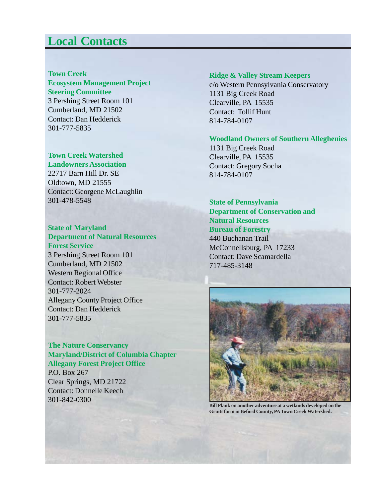# **Local Contacts**

**Town Creek Ecosystem Management Project Steering Committee** 3 Pershing Street Room 101 Cumberland, MD 21502 Contact: Dan Hedderick 301-777-5835

#### **Town Creek Watershed**

**Landowners Association** 22717 Barn Hill Dr. SE Oldtown, MD 21555 Contact: Georgene McLaughlin 301-478-5548

#### **State of Maryland Department of Natural Resources Forest Service**

3 Pershing Street Room 101 Cumberland, MD 21502 Western Regional Office Contact: Robert Webster 301-777-2024 Allegany County Project Office Contact: Dan Hedderick 301-777-5835

**The Nature Conservancy Maryland/District of Columbia Chapter Allegany Forest Project Office** P.O. Box 267 Clear Springs, MD 21722 Contact: Donnelle Keech 301-842-0300

#### **Ridge & Valley Stream Keepers**

c/o Western Pennsylvania Conservatory 1131 Big Creek Road Clearville, PA 15535 Contact: Tollif Hunt 814-784-0107

#### **Woodland Owners of Southern Alleghenies**

1131 Big Creek Road Clearville, PA 15535 Contact: Gregory Socha 814-784-0107

#### **State of Pennsylvania Department of Conservation and Natural Resources Bureau of Forestry** 440 Buchanan Trail

McConnellsburg, PA 17233 Contact: Dave Scamardella 717-485-3148



**Bill Plank on another adventure at a wetlands developed on the Gruitt farm in Beford County, PA Town Creek Watershed.**